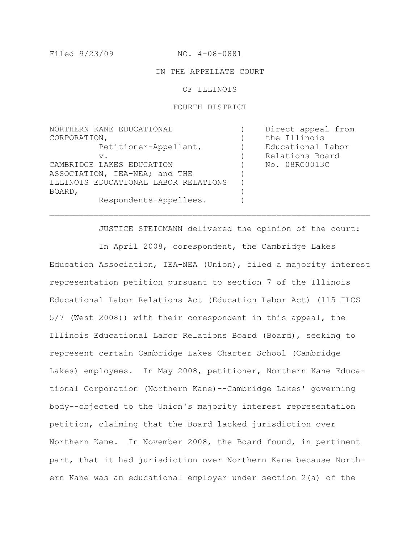Filed 9/23/09 NO. 4-08-0881

#### IN THE APPELLATE COURT

OF ILLINOIS

#### FOURTH DISTRICT

NORTHERN KANE EDUCATIONAL CORPORATION, Petitioner-Appellant, v. CAMBRIDGE LAKES EDUCATION ASSOCIATION, IEA-NEA; and THE ILLINOIS EDUCATIONAL LABOR RELATIONS BOARD, Respondents-Appellees.  $\left( \right)$  $\left( \right)$  $\left( \right)$  $\left( \right)$  $\lambda$  $\lambda$  $\lambda$ ) ) Direct appeal from the Illinois Educational Labor Relations Board No. 08RC0013C

 $\mathcal{L}_\text{max} = \mathcal{L}_\text{max} = \mathcal{L}_\text{max} = \mathcal{L}_\text{max} = \mathcal{L}_\text{max} = \mathcal{L}_\text{max} = \mathcal{L}_\text{max} = \mathcal{L}_\text{max} = \mathcal{L}_\text{max} = \mathcal{L}_\text{max} = \mathcal{L}_\text{max} = \mathcal{L}_\text{max} = \mathcal{L}_\text{max} = \mathcal{L}_\text{max} = \mathcal{L}_\text{max} = \mathcal{L}_\text{max} = \mathcal{L}_\text{max} = \mathcal{L}_\text{max} = \mathcal{$ 

 JUSTICE STEIGMANN delivered the opinion of the court: In April 2008, corespondent, the Cambridge Lakes Education Association, IEA-NEA (Union), filed a majority interest representation petition pursuant to section 7 of the Illinois Educational Labor Relations Act (Education Labor Act) (115 ILCS 5/7 (West 2008)) with their corespondent in this appeal, the Illinois Educational Labor Relations Board (Board), seeking to represent certain Cambridge Lakes Charter School (Cambridge Lakes) employees. In May 2008, petitioner, Northern Kane Educational Corporation (Northern Kane)--Cambridge Lakes' governing body--objected to the Union's majority interest representation petition, claiming that the Board lacked jurisdiction over Northern Kane. In November 2008, the Board found, in pertinent part, that it had jurisdiction over Northern Kane because Northern Kane was an educational employer under section 2(a) of the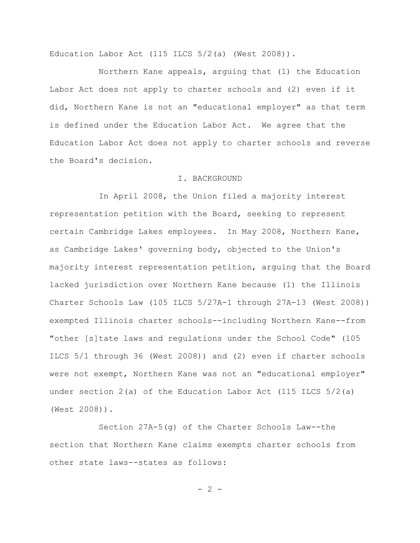Education Labor Act (115 ILCS  $5/2$  (a) (West  $2008$ )).

Northern Kane appeals, arguing that (1) the Education Labor Act does not apply to charter schools and (2) even if it did, Northern Kane is not an "educational employer" as that term is defined under the Education Labor Act. We agree that the Education Labor Act does not apply to charter schools and reverse the Board's decision.

### I. BACKGROUND

In April 2008, the Union filed a majority interest representation petition with the Board, seeking to represent certain Cambridge Lakes employees. In May 2008, Northern Kane, as Cambridge Lakes' governing body, objected to the Union's majority interest representation petition, arguing that the Board lacked jurisdiction over Northern Kane because (1) the Illinois Charter Schools Law (105 ILCS 5/27A-1 through 27A-13 (West 2008)) exempted Illinois charter schools--including Northern Kane--from "other [s]tate laws and regulations under the School Code" (105 ILCS 5/1 through 36 (West 2008)) and (2) even if charter schools were not exempt, Northern Kane was not an "educational employer" under section  $2(a)$  of the Education Labor Act (115 ILCS  $5/2(a)$ ) (West 2008)).

Section 27A-5(g) of the Charter Schools Law--the section that Northern Kane claims exempts charter schools from other state laws--states as follows:

 $- 2 -$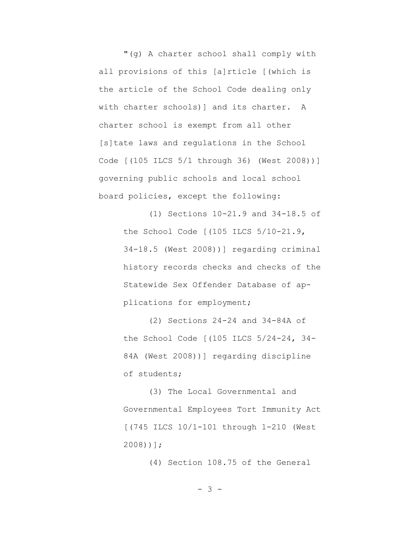"(g) A charter school shall comply with all provisions of this [a]rticle [(which is the article of the School Code dealing only with charter schools) and its charter. A charter school is exempt from all other [s]tate laws and regulations in the School Code [(105 ILCS 5/1 through 36) (West 2008))] governing public schools and local school board policies, except the following:

> (1) Sections 10-21.9 and 34-18.5 of the School Code [(105 ILCS 5/10-21.9, 34-18.5 (West 2008))] regarding criminal history records checks and checks of the Statewide Sex Offender Database of applications for employment;

(2) Sections 24-24 and 34-84A of the School Code [(105 ILCS 5/24-24, 34- 84A (West 2008))] regarding discipline of students;

(3) The Local Governmental and Governmental Employees Tort Immunity Act [(745 ILCS 10/1-101 through 1-210 (West 2008))];

(4) Section 108.75 of the General

- 3 -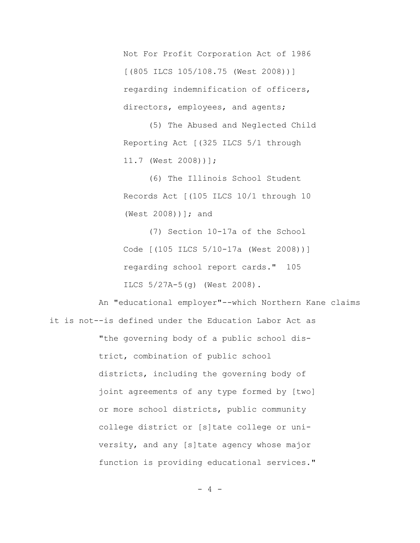Not For Profit Corporation Act of 1986 [(805 ILCS 105/108.75 (West 2008))] regarding indemnification of officers, directors, employees, and agents;

(5) The Abused and Neglected Child Reporting Act [(325 ILCS 5/1 through 11.7 (West 2008))];

(6) The Illinois School Student Records Act [(105 ILCS 10/1 through 10 (West 2008))]; and

(7) Section 10-17a of the School Code [(105 ILCS 5/10-17a (West 2008))] regarding school report cards." 105 ILCS 5/27A-5(g) (West 2008).

An "educational employer"--which Northern Kane claims it is not--is defined under the Education Labor Act as "the governing body of a public school district, combination of public school districts, including the governing body of joint agreements of any type formed by [two] or more school districts, public community college district or [s]tate college or university, and any [s]tate agency whose major function is providing educational services."

 $- 4 -$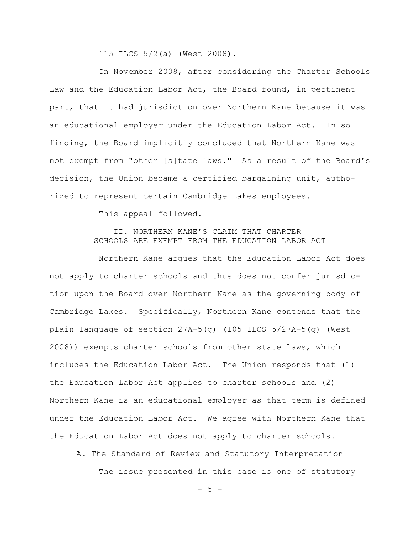115 ILCS 5/2(a) (West 2008).

In November 2008, after considering the Charter Schools Law and the Education Labor Act, the Board found, in pertinent part, that it had jurisdiction over Northern Kane because it was an educational employer under the Education Labor Act. In so finding, the Board implicitly concluded that Northern Kane was not exempt from "other [s]tate laws." As a result of the Board's decision, the Union became a certified bargaining unit, authorized to represent certain Cambridge Lakes employees.

This appeal followed.

# II. NORTHERN KANE'S CLAIM THAT CHARTER SCHOOLS ARE EXEMPT FROM THE EDUCATION LABOR ACT

Northern Kane argues that the Education Labor Act does not apply to charter schools and thus does not confer jurisdiction upon the Board over Northern Kane as the governing body of Cambridge Lakes. Specifically, Northern Kane contends that the plain language of section  $27A-5(q)$  (105 ILCS  $5/27A-5(q)$  (West 2008)) exempts charter schools from other state laws, which includes the Education Labor Act. The Union responds that (1) the Education Labor Act applies to charter schools and (2) Northern Kane is an educational employer as that term is defined under the Education Labor Act. We agree with Northern Kane that the Education Labor Act does not apply to charter schools.

A. The Standard of Review and Statutory Interpretation

The issue presented in this case is one of statutory

 $-5 -$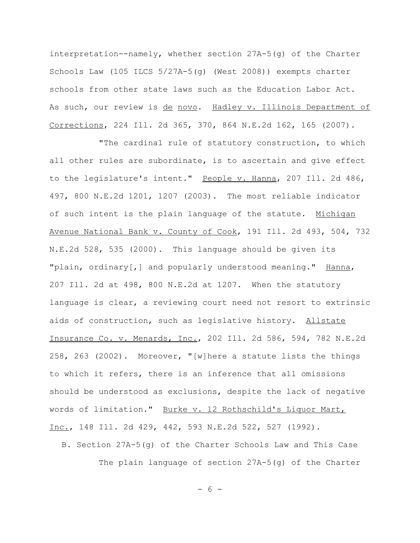interpretation--namely, whether section 27A-5(g) of the Charter Schools Law (105 ILCS 5/27A-5(g) (West 2008)) exempts charter schools from other state laws such as the Education Labor Act. As such, our review is de novo. Hadley v. Illinois Department of Corrections, 224 Ill. 2d 365, 370, 864 N.E.2d 162, 165 (2007).

"The cardinal rule of statutory construction, to which all other rules are subordinate, is to ascertain and give effect to the legislature's intent." People v. Hanna, 207 Ill. 2d 486, 497, 800 N.E.2d 1201, 1207 (2003). The most reliable indicator of such intent is the plain language of the statute. Michigan Avenue National Bank v. County of Cook, 191 Ill. 2d 493, 504, 732 N.E.2d 528, 535 (2000). This language should be given its "plain, ordinary [, ] and popularly understood meaning." Hanna, 207 Ill. 2d at 498, 800 N.E.2d at 1207. When the statutory language is clear, a reviewing court need not resort to extrinsic aids of construction, such as legislative history. Allstate Insurance Co. v. Menards, Inc., 202 Ill. 2d 586, 594, 782 N.E.2d 258, 263 (2002). Moreover, "[w]here a statute lists the things to which it refers, there is an inference that all omissions should be understood as exclusions, despite the lack of negative words of limitation." Burke v. 12 Rothschild's Liquor Mart, Inc., 148 Ill. 2d 429, 442, 593 N.E.2d 522, 527 (1992).

B. Section 27A-5(g) of the Charter Schools Law and This Case The plain language of section 27A-5(g) of the Charter

- 6 -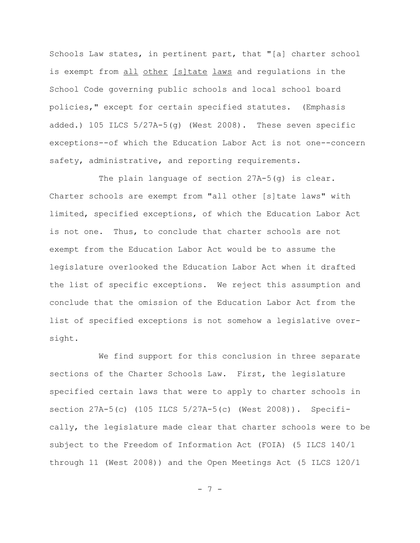Schools Law states, in pertinent part, that "[a] charter school is exempt from all other [s]tate laws and regulations in the School Code governing public schools and local school board policies," except for certain specified statutes. (Emphasis added.) 105 ILCS 5/27A-5(g) (West 2008). These seven specific exceptions--of which the Education Labor Act is not one--concern safety, administrative, and reporting requirements.

The plain language of section 27A-5(g) is clear. Charter schools are exempt from "all other [s]tate laws" with limited, specified exceptions, of which the Education Labor Act is not one. Thus, to conclude that charter schools are not exempt from the Education Labor Act would be to assume the legislature overlooked the Education Labor Act when it drafted the list of specific exceptions. We reject this assumption and conclude that the omission of the Education Labor Act from the list of specified exceptions is not somehow a legislative oversight.

We find support for this conclusion in three separate sections of the Charter Schools Law. First, the legislature specified certain laws that were to apply to charter schools in section 27A-5(c) (105 ILCS 5/27A-5(c) (West 2008)). Specifically, the legislature made clear that charter schools were to be subject to the Freedom of Information Act (FOIA) (5 ILCS 140/1 through 11 (West 2008)) and the Open Meetings Act (5 ILCS 120/1

- 7 -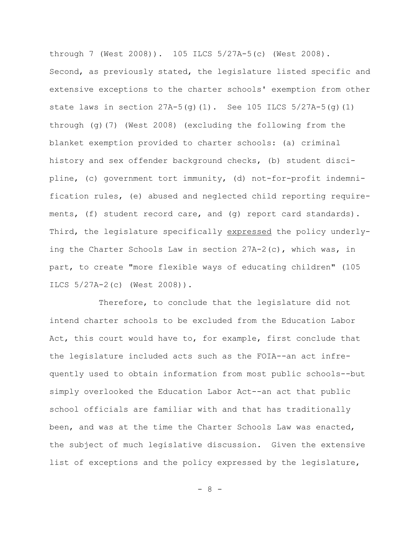through 7 (West 2008)). 105 ILCS 5/27A-5(c) (West 2008). Second, as previously stated, the legislature listed specific and extensive exceptions to the charter schools' exemption from other state laws in section  $27A-5(q)(1)$ . See 105 ILCS  $5/27A-5(q)(1)$ through (g)(7) (West 2008) (excluding the following from the blanket exemption provided to charter schools: (a) criminal history and sex offender background checks, (b) student discipline, (c) government tort immunity, (d) not-for-profit indemnification rules, (e) abused and neglected child reporting requirements, (f) student record care, and (g) report card standards). Third, the legislature specifically expressed the policy underlying the Charter Schools Law in section 27A-2(c), which was, in part, to create "more flexible ways of educating children" (105 ILCS 5/27A-2(c) (West 2008)).

Therefore, to conclude that the legislature did not intend charter schools to be excluded from the Education Labor Act, this court would have to, for example, first conclude that the legislature included acts such as the FOIA--an act infrequently used to obtain information from most public schools--but simply overlooked the Education Labor Act--an act that public school officials are familiar with and that has traditionally been, and was at the time the Charter Schools Law was enacted, the subject of much legislative discussion. Given the extensive list of exceptions and the policy expressed by the legislature,

 $- 8 -$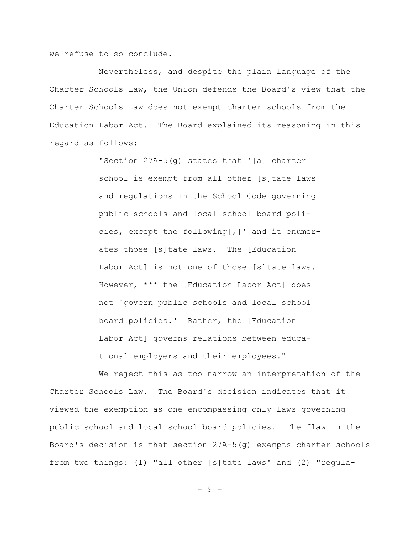we refuse to so conclude.

Nevertheless, and despite the plain language of the Charter Schools Law, the Union defends the Board's view that the Charter Schools Law does not exempt charter schools from the Education Labor Act. The Board explained its reasoning in this regard as follows:

> "Section 27A-5(g) states that '[a] charter school is exempt from all other [s]tate laws and regulations in the School Code governing public schools and local school board policies, except the following[,]' and it enumerates those [s]tate laws. The [Education Labor Act] is not one of those [s]tate laws. However, \*\*\* the [Education Labor Act] does not 'govern public schools and local school board policies.' Rather, the [Education Labor Act] governs relations between educational employers and their employees."

We reject this as too narrow an interpretation of the Charter Schools Law. The Board's decision indicates that it viewed the exemption as one encompassing only laws governing public school and local school board policies. The flaw in the Board's decision is that section 27A-5(g) exempts charter schools from two things: (1) "all other [s]tate laws" and (2) "regula-

- 9 -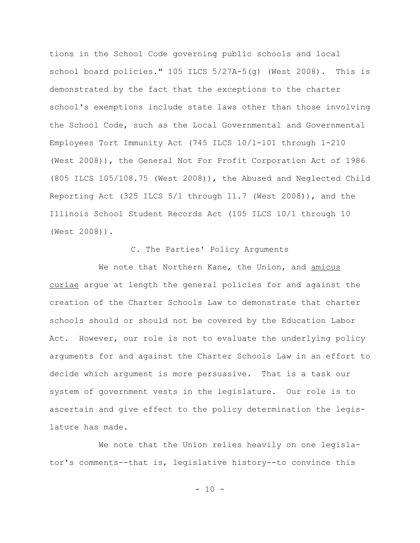tions in the School Code governing public schools and local school board policies." 105 ILCS 5/27A-5(g) (West 2008). This is demonstrated by the fact that the exceptions to the charter school's exemptions include state laws other than those involving the School Code, such as the Local Governmental and Governmental Employees Tort Immunity Act (745 ILCS 10/1-101 through 1-210 (West 2008)), the General Not For Profit Corporation Act of 1986 (805 ILCS 105/108.75 (West 2008)), the Abused and Neglected Child Reporting Act (325 ILCS 5/1 through 11.7 (West 2008)), and the Illinois School Student Records Act (105 ILCS 10/1 through 10 (West 2008)).

# C. The Parties' Policy Arguments

We note that Northern Kane, the Union, and amicus curiae argue at length the general policies for and against the creation of the Charter Schools Law to demonstrate that charter schools should or should not be covered by the Education Labor Act. However, our role is not to evaluate the underlying policy arguments for and against the Charter Schools Law in an effort to decide which argument is more persuasive. That is a task our system of government vests in the legislature. Our role is to ascertain and give effect to the policy determination the legislature has made.

We note that the Union relies heavily on one legislator's comments--that is, legislative history--to convince this

 $-10 -$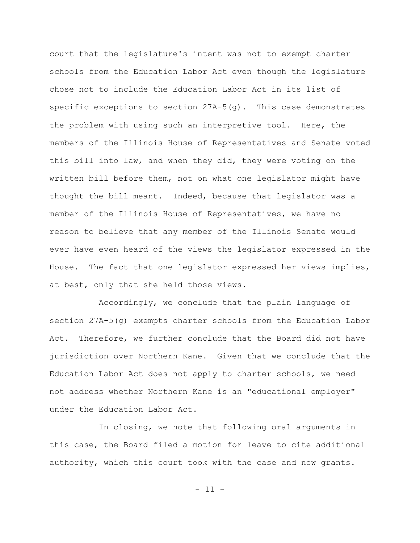court that the legislature's intent was not to exempt charter schools from the Education Labor Act even though the legislature chose not to include the Education Labor Act in its list of specific exceptions to section  $27A-5(q)$ . This case demonstrates the problem with using such an interpretive tool. Here, the members of the Illinois House of Representatives and Senate voted this bill into law, and when they did, they were voting on the written bill before them, not on what one legislator might have thought the bill meant. Indeed, because that legislator was a member of the Illinois House of Representatives, we have no reason to believe that any member of the Illinois Senate would ever have even heard of the views the legislator expressed in the House. The fact that one legislator expressed her views implies, at best, only that she held those views.

Accordingly, we conclude that the plain language of section 27A-5(g) exempts charter schools from the Education Labor Act. Therefore, we further conclude that the Board did not have jurisdiction over Northern Kane. Given that we conclude that the Education Labor Act does not apply to charter schools, we need not address whether Northern Kane is an "educational employer" under the Education Labor Act.

In closing, we note that following oral arguments in this case, the Board filed a motion for leave to cite additional authority, which this court took with the case and now grants.

 $- 11 -$